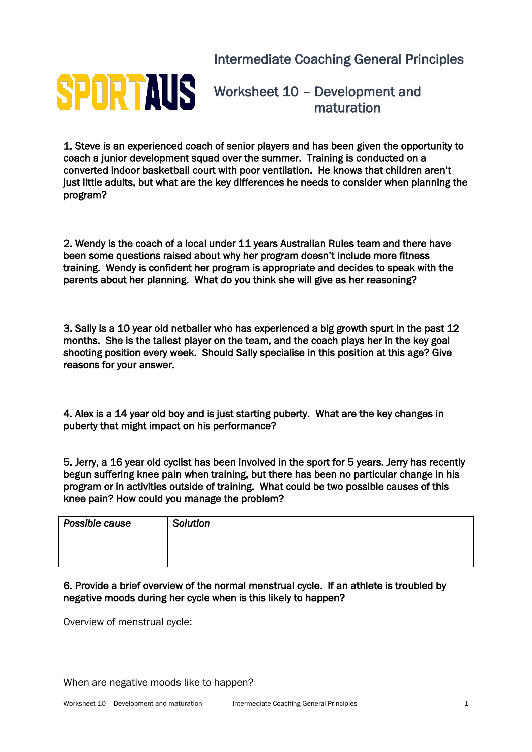Intermediate Coaching General Principles



Worksheet 10 – Development and maturation

1. Steve is an experienced coach of senior players and has been given the opportunity to coach a junior development squad over the summer. Training is conducted on a converted indoor basketball court with poor ventilation. He knows that children aren't just little adults, but what are the key differences he needs to consider when planning the program?

2. Wendy is the coach of a local under 11 years Australian Rules team and there have been some questions raised about why her program doesn't include more fitness training. Wendy is confident her program is appropriate and decides to speak with the parents about her planning. What do you think she will give as her reasoning?

3. Sally is a 10 year old netballer who has experienced a big growth spurt in the past 12 months. She is the tallest player on the team, and the coach plays her in the key goal shooting position every week. Should Sally specialise in this position at this age? Give reasons for your answer.

4. Alex is a 14 year old boy and is just starting puberty. What are the key changes in puberty that might impact on his performance?

5. Jerry, a 16 year old cyclist has been involved in the sport for 5 years. Jerry has recently begun suffering knee pain when training, but there has been no particular change in his program or in activities outside of training. What could be two possible causes of this knee pain? How could you manage the problem?

| Possible cause | Solution |
|----------------|----------|
|                |          |
|                |          |
|                |          |

6. Provide a brief overview of the normal menstrual cycle. If an athlete is troubled by negative moods during her cycle when is this likely to happen?

Overview of menstrual cycle: